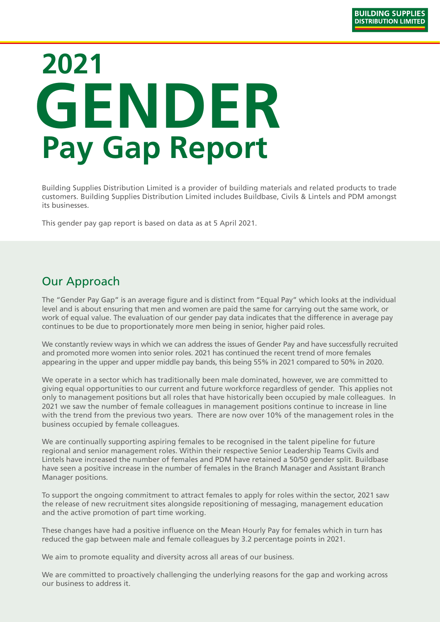# **2021 GENDER Pay Gap Report**

Building Supplies Distribution Limited is a provider of building materials and related products to trade customers. Building Supplies Distribution Limited includes Buildbase, Civils & Lintels and PDM amongst its businesses.

This gender pay gap report is based on data as at 5 April 2021.

### Our Approach

The "Gender Pay Gap" is an average figure and is distinct from "Equal Pay" which looks at the individual level and is about ensuring that men and women are paid the same for carrying out the same work, or work of equal value. The evaluation of our gender pay data indicates that the difference in average pay continues to be due to proportionately more men being in senior, higher paid roles.

We constantly review ways in which we can address the issues of Gender Pay and have successfully recruited and promoted more women into senior roles. 2021 has continued the recent trend of more females appearing in the upper and upper middle pay bands, this being 55% in 2021 compared to 50% in 2020.

We operate in a sector which has traditionally been male dominated, however, we are committed to giving equal opportunities to our current and future workforce regardless of gender. This applies not only to management positions but all roles that have historically been occupied by male colleagues. In 2021 we saw the number of female colleagues in management positions continue to increase in line with the trend from the previous two years. There are now over 10% of the management roles in the business occupied by female colleagues.

We are continually supporting aspiring females to be recognised in the talent pipeline for future regional and senior management roles. Within their respective Senior Leadership Teams Civils and Lintels have increased the number of females and PDM have retained a 50/50 gender split. Buildbase have seen a positive increase in the number of females in the Branch Manager and Assistant Branch Manager positions.

To support the ongoing commitment to attract females to apply for roles within the sector, 2021 saw the release of new recruitment sites alongside repositioning of messaging, management education and the active promotion of part time working.

These changes have had a positive influence on the Mean Hourly Pay for females which in turn has reduced the gap between male and female colleagues by 3.2 percentage points in 2021.

We aim to promote equality and diversity across all areas of our business.

We are committed to proactively challenging the underlying reasons for the gap and working across our business to address it.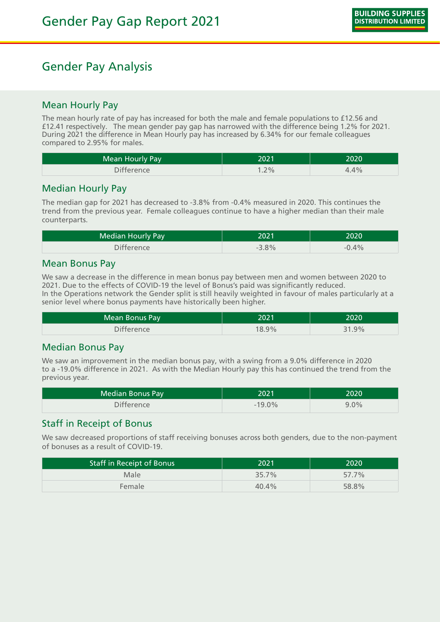## Gender Pay Analysis

#### Mean Hourly Pay

The mean hourly rate of pay has increased for both the male and female populations to £12.56 and £12.41 respectively. The mean gender pay gap has narrowed with the difference being 1.2% for 2021. During 2021 the difference in Mean Hourly pay has increased by 6.34% for our female colleagues compared to 2.95% for males.

| Mean Hourly Pay   | 2021   | 2020 |
|-------------------|--------|------|
| <b>Difference</b> | $.2\%$ | 4.4% |

#### Median Hourly Pay

The median gap for 2021 has decreased to -3.8% from -0.4% measured in 2020. This continues the trend from the previous year. Female colleagues continue to have a higher median than their male counterparts.

| Median Hourly Pay | 2021    | 2020    |
|-------------------|---------|---------|
| <b>Difference</b> | $-3.8%$ | $-0.4%$ |

#### Mean Bonus Pay

We saw a decrease in the difference in mean bonus pay between men and women between 2020 to 2021. Due to the effects of COVID-19 the level of Bonus's paid was significantly reduced. In the Operations network the Gender split is still heavily weighted in favour of males particularly at a senior level where bonus payments have historically been higher.

| Mean Bonus Pay    | 2021  | 2020  |
|-------------------|-------|-------|
| <b>Difference</b> | 18.9% | 31.9% |

#### Median Bonus Pay

We saw an improvement in the median bonus pay, with a swing from a 9.0% difference in 2020 to a -19.0% difference in 2021. As with the Median Hourly pay this has continued the trend from the previous year.

| <b>Median Bonus Pay</b> | 2021     | 2020    |
|-------------------------|----------|---------|
| <b>Difference</b>       | $-19.0%$ | $9.0\%$ |

#### Staff in Receipt of Bonus

We saw decreased proportions of staff receiving bonuses across both genders, due to the non-payment of bonuses as a result of COVID-19.

| <b>Staff in Receipt of Bonus</b> | 2021  | 2020  |
|----------------------------------|-------|-------|
| Male                             | 35.7% | 57.7% |
| Female                           | 40.4% | 58.8% |